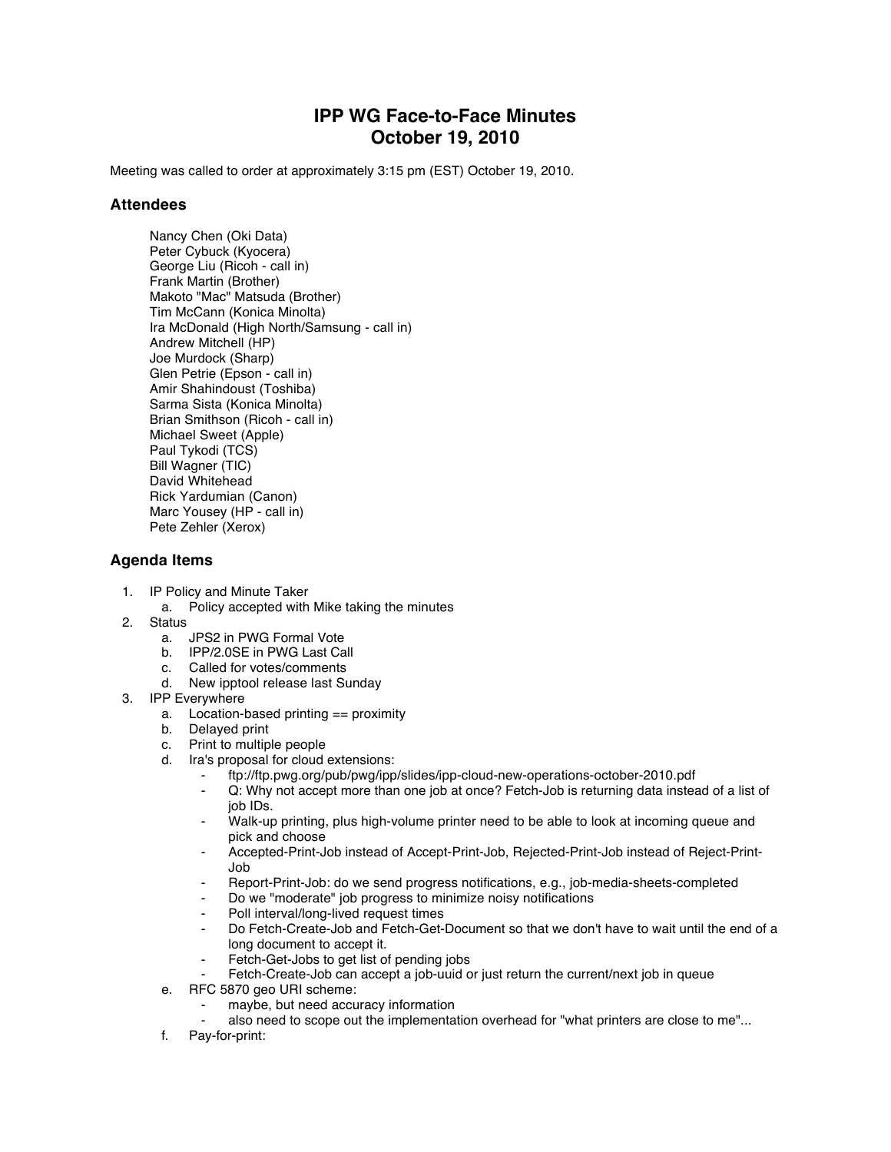## **IPP WG Face-to-Face Minutes October 19, 2010**

Meeting was called to order at approximately 3:15 pm (EST) October 19, 2010.

## **Attendees**

Nancy Chen (Oki Data) Peter Cybuck (Kyocera) George Liu (Ricoh - call in) Frank Martin (Brother) Makoto "Mac" Matsuda (Brother) Tim McCann (Konica Minolta) Ira McDonald (High North/Samsung - call in) Andrew Mitchell (HP) Joe Murdock (Sharp) Glen Petrie (Epson - call in) Amir Shahindoust (Toshiba) Sarma Sista (Konica Minolta) Brian Smithson (Ricoh - call in) Michael Sweet (Apple) Paul Tykodi (TCS) Bill Wagner (TIC) David Whitehead Rick Yardumian (Canon) Marc Yousey (HP - call in) Pete Zehler (Xerox)

## **Agenda Items**

- 1. IP Policy and Minute Taker
	- a. Policy accepted with Mike taking the minutes
- 2. Status
	- a. JPS2 in PWG Formal Vote
	- b. IPP/2.0SE in PWG Last Call
	- c. Called for votes/comments
	- d. New ipptool release last Sunday
- 3. IPP Everywhere
	- a. Location-based printing == proximity
	- b. Delayed print
	- c. Print to multiple people
	- d. Ira's proposal for cloud extensions:
		- ⁃ ftp://ftp.pwg.org/pub/pwg/ipp/slides/ipp-cloud-new-operations-october-2010.pdf
		- ⁃ Q: Why not accept more than one job at once? Fetch-Job is returning data instead of a list of job IDs.
		- Walk-up printing, plus high-volume printer need to be able to look at incoming queue and pick and choose
		- ⁃ Accepted-Print-Job instead of Accept-Print-Job, Rejected-Print-Job instead of Reject-Print-Job
		- Report-Print-Job: do we send progress notifications, e.g., job-media-sheets-completed
		- Do we "moderate" job progress to minimize noisy notifications
		- Poll interval/long-lived request times
		- Do Fetch-Create-Job and Fetch-Get-Document so that we don't have to wait until the end of a long document to accept it.
		- Fetch-Get-Jobs to get list of pending jobs
		- Fetch-Create-Job can accept a job-uuid or just return the current/next job in queue
	- e. RFC 5870 geo URI scheme:
		- maybe, but need accuracy information
		- also need to scope out the implementation overhead for "what printers are close to me"...
	- f. Pay-for-print: